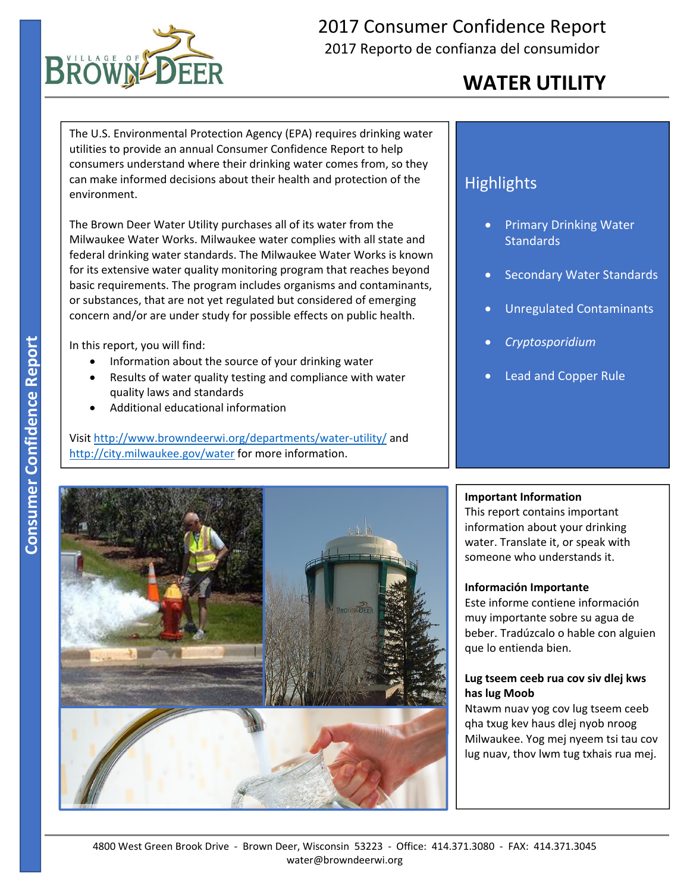

## 2017 Consumer Confidence Report 2017 Reporto de confianza del consumidor

## **WATER UTILITY**

The U.S. Environmental Protection Agency (EPA) requires drinking water utilities to provide an annual Consumer Confidence Report to help consumers understand where their drinking water comes from, so they can make informed decisions about their health and protection of the environment.

The Brown Deer Water Utility purchases all of its water from the Milwaukee Water Works. Milwaukee water complies with all state and federal drinking water standards. The Milwaukee Water Works is known for its extensive water quality monitoring program that reaches beyond basic requirements. The program includes organisms and contaminants, or substances, that are not yet regulated but considered of emerging concern and/or are under study for possible effects on public health.

In this report, you will find:

- Information about the source of your drinking water
- Results of water quality testing and compliance with water quality laws and standards
- Additional educational information

Visit http://www.browndeerwi.org/departments/water‐utility/ and http://city.milwaukee.gov/water for more information.

## **Highlights**

- Primary Drinking Water **Standards**
- Secondary Water Standards
- Unregulated Contaminants
- *Cryptosporidium*
- Lead and Copper Rule



#### **Important Information**

This report contains important information about your drinking water. Translate it, or speak with someone who understands it.

#### **Información Importante**

Este informe contiene información muy importante sobre su agua de beber. Tradúzcalo o hable con alguien que lo entienda bien.

#### **Lug tseem ceeb rua cov siv dlej kws has lug Moob**

Ntawm nuav yog cov lug tseem ceeb qha txug kev haus dlej nyob nroog Milwaukee. Yog mej nyeem tsi tau cov lug nuav, thov lwm tug txhais rua mej.

<u>l la componenta del</u>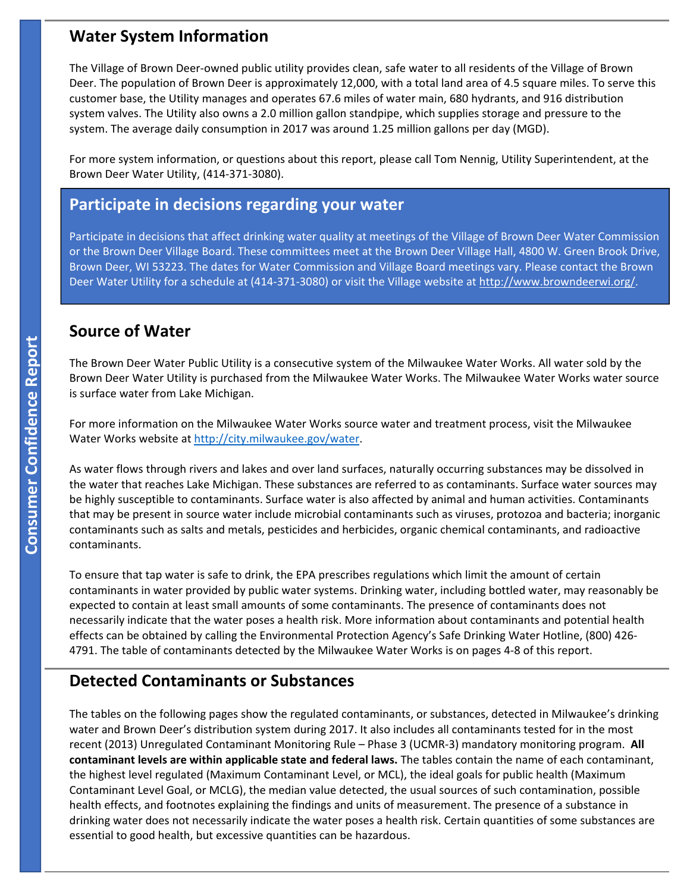### **Water System Information**

The Village of Brown Deer‐owned public utility provides clean, safe water to all residents of the Village of Brown Deer. The population of Brown Deer is approximately 12,000, with a total land area of 4.5 square miles. To serve this customer base, the Utility manages and operates 67.6 miles of water main, 680 hydrants, and 916 distribution system valves. The Utility also owns a 2.0 million gallon standpipe, which supplies storage and pressure to the system. The average daily consumption in 2017 was around 1.25 million gallons per day (MGD).

 Brown Deer Water Utility, (414‐371‐3080). For more system information, or questions about this report, please call Tom Nennig, Utility Superintendent, at the

#### **Participate in decisions regarding your water**

Participate in decisions that affect drinking water quality at meetings of the Village of Brown Deer Water Commission or the Brown Deer Village Board. These committees meet at the Brown Deer Village Hall, 4800 W. Green Brook Drive, Brown Deer, WI 53223. The dates for Water Commission and Village Board meetings vary. Please contact the Brown Deer Water Utility for a schedule at (414‐371‐3080) or visit the Village website at http://www.browndeerwi.org/.

#### **Source of Water**

The Brown Deer Water Public Utility is a consecutive system of the Milwaukee Water Works. All water sold by the Brown Deer Water Utility is purchased from the Milwaukee Water Works. The Milwaukee Water Works water source is surface water from Lake Michigan.

For more information on the Milwaukee Water Works source water and treatment process, visit the Milwaukee Water Works website at http://city.milwaukee.gov/water.

As water flows through rivers and lakes and over land surfaces, naturally occurring substances may be dissolved in the water that reaches Lake Michigan. These substances are referred to as contaminants. Surface water sources may be highly susceptible to contaminants. Surface water is also affected by animal and human activities. Contaminants that may be present in source water include microbial contaminants such as viruses, protozoa and bacteria; inorganic contaminants such as salts and metals, pesticides and herbicides, organic chemical contaminants, and radioactive contaminants.

To ensure that tap water is safe to drink, the EPA prescribes regulations which limit the amount of certain contaminants in water provided by public water systems. Drinking water, including bottled water, may reasonably be expected to contain at least small amounts of some contaminants. The presence of contaminants does not necessarily indicate that the water poses a health risk. More information about contaminants and potential health effects can be obtained by calling the Environmental Protection Agency's Safe Drinking Water Hotline, (800) 426‐ 4791. The table of contaminants detected by the Milwaukee Water Works is on pages 4‐8 of this report.

### **Detected Contaminants or Substances**

The tables on the following pages show the regulated contaminants, or substances, detected in Milwaukee's drinking water and Brown Deer's distribution system during 2017. It also includes all contaminants tested for in the most recent (2013) Unregulated Contaminant Monitoring Rule – Phase 3 (UCMR‐3) mandatory monitoring program. **All contaminant levels are within applicable state and federal laws.** The tables contain the name of each contaminant, the highest level regulated (Maximum Contaminant Level, or MCL), the ideal goals for public health (Maximum Contaminant Level Goal, or MCLG), the median value detected, the usual sources of such contamination, possible health effects, and footnotes explaining the findings and units of measurement. The presence of a substance in drinking water does not necessarily indicate the water poses a health risk. Certain quantities of some substances are essential to good health, but excessive quantities can be hazardous.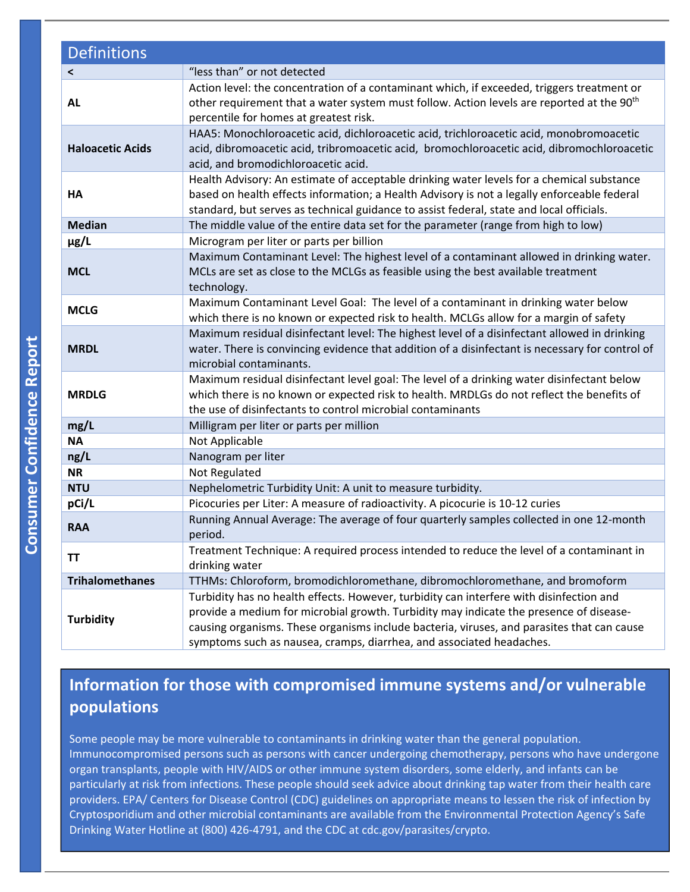| <b>Definitions</b>       |                                                                                                                                                                                                                                                                                                                                                         |
|--------------------------|---------------------------------------------------------------------------------------------------------------------------------------------------------------------------------------------------------------------------------------------------------------------------------------------------------------------------------------------------------|
| $\overline{\phantom{0}}$ | "less than" or not detected                                                                                                                                                                                                                                                                                                                             |
| <b>AL</b>                | Action level: the concentration of a contaminant which, if exceeded, triggers treatment or<br>other requirement that a water system must follow. Action levels are reported at the 90 <sup>th</sup><br>percentile for homes at greatest risk.                                                                                                           |
| <b>Haloacetic Acids</b>  | HAA5: Monochloroacetic acid, dichloroacetic acid, trichloroacetic acid, monobromoacetic<br>acid, dibromoacetic acid, tribromoacetic acid, bromochloroacetic acid, dibromochloroacetic<br>acid, and bromodichloroacetic acid.                                                                                                                            |
| HA                       | Health Advisory: An estimate of acceptable drinking water levels for a chemical substance<br>based on health effects information; a Health Advisory is not a legally enforceable federal<br>standard, but serves as technical guidance to assist federal, state and local officials.                                                                    |
| <b>Median</b>            | The middle value of the entire data set for the parameter (range from high to low)                                                                                                                                                                                                                                                                      |
| $\mu$ g/L                | Microgram per liter or parts per billion                                                                                                                                                                                                                                                                                                                |
| <b>MCL</b>               | Maximum Contaminant Level: The highest level of a contaminant allowed in drinking water.<br>MCLs are set as close to the MCLGs as feasible using the best available treatment<br>technology.                                                                                                                                                            |
| <b>MCLG</b>              | Maximum Contaminant Level Goal: The level of a contaminant in drinking water below<br>which there is no known or expected risk to health. MCLGs allow for a margin of safety                                                                                                                                                                            |
| <b>MRDL</b>              | Maximum residual disinfectant level: The highest level of a disinfectant allowed in drinking<br>water. There is convincing evidence that addition of a disinfectant is necessary for control of<br>microbial contaminants.                                                                                                                              |
| <b>MRDLG</b>             | Maximum residual disinfectant level goal: The level of a drinking water disinfectant below<br>which there is no known or expected risk to health. MRDLGs do not reflect the benefits of<br>the use of disinfectants to control microbial contaminants                                                                                                   |
| mg/L                     | Milligram per liter or parts per million                                                                                                                                                                                                                                                                                                                |
| <b>NA</b>                | Not Applicable                                                                                                                                                                                                                                                                                                                                          |
| ng/L                     | Nanogram per liter                                                                                                                                                                                                                                                                                                                                      |
| <b>NR</b>                | Not Regulated                                                                                                                                                                                                                                                                                                                                           |
| <b>NTU</b>               | Nephelometric Turbidity Unit: A unit to measure turbidity.                                                                                                                                                                                                                                                                                              |
| pCi/L                    | Picocuries per Liter: A measure of radioactivity. A picocurie is 10-12 curies                                                                                                                                                                                                                                                                           |
| <b>RAA</b>               | Running Annual Average: The average of four quarterly samples collected in one 12-month<br>period.                                                                                                                                                                                                                                                      |
| ΤT                       | Treatment Technique: A required process intended to reduce the level of a contaminant in<br>drinking water                                                                                                                                                                                                                                              |
| <b>Trihalomethanes</b>   | TTHMs: Chloroform, bromodichloromethane, dibromochloromethane, and bromoform                                                                                                                                                                                                                                                                            |
| <b>Turbidity</b>         | Turbidity has no health effects. However, turbidity can interfere with disinfection and<br>provide a medium for microbial growth. Turbidity may indicate the presence of disease-<br>causing organisms. These organisms include bacteria, viruses, and parasites that can cause<br>symptoms such as nausea, cramps, diarrhea, and associated headaches. |

## **Information for those with compromised immune systems and/or vulnerable populations**

Some people may be more vulnerable to contaminants in drinking water than the general population. Immunocompromised persons such as persons with cancer undergoing chemotherapy, persons who have undergone organ transplants, people with HIV/AIDS or other immune system disorders, some elderly, and infants can be particularly at risk from infections. These people should seek advice about drinking tap water from their health care providers. EPA/ Centers for Disease Control (CDC) guidelines on appropriate means to lessen the risk of infection by Cryptosporidium and other microbial contaminants are available from the Environmental Protection Agency's Safe Drinking Water Hotline at (800) 426‐4791, and the CDC at cdc.gov/parasites/crypto.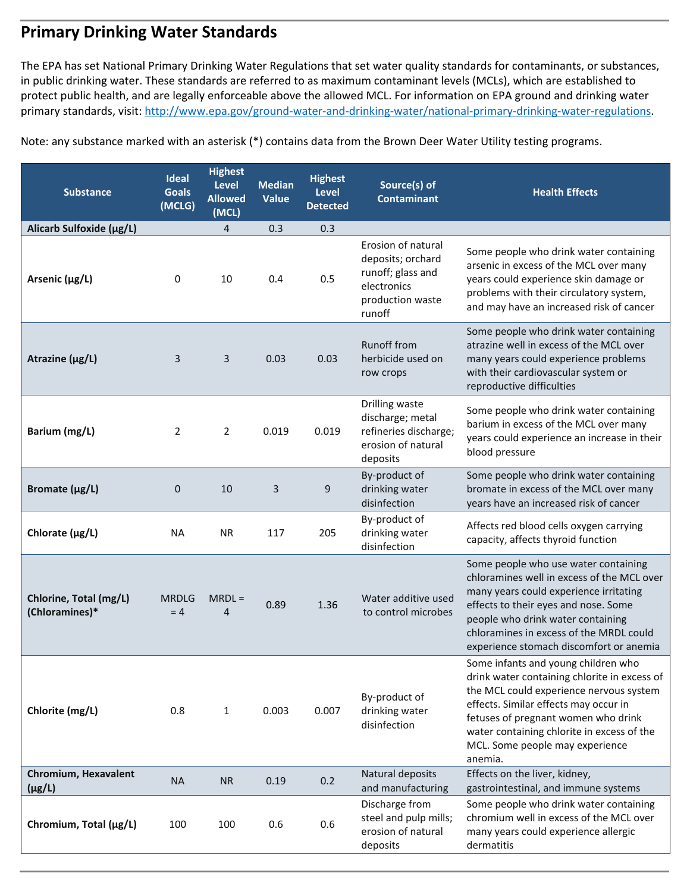## **Primary Drinking Water Standards**

 protect public health, and are legally enforceable above the allowed MCL. For information on EPA ground and drinking water The EPA has set National Primary Drinking Water Regulations that set water quality standards for contaminants, or substances, in public drinking water. These standards are referred to as maximum contaminant levels (MCLs), which are established to primary standards, visit: http://www.epa.gov/ground-water-and-drinking-water/national-primary-drinking-water-regulations.

Note: any substance marked with an asterisk (\*) contains data from the Brown Deer Water Utility testing programs.

| <b>Substance</b>                         | <b>Ideal</b><br><b>Goals</b><br>(MCLG) | <b>Highest</b><br>Level<br><b>Allowed</b><br>(MCL) | <b>Median</b><br>Value | <b>Highest</b><br>Level<br><b>Detected</b> | Source(s) of<br><b>Contaminant</b>                                                                        | <b>Health Effects</b>                                                                                                                                                                                                                                                                                      |
|------------------------------------------|----------------------------------------|----------------------------------------------------|------------------------|--------------------------------------------|-----------------------------------------------------------------------------------------------------------|------------------------------------------------------------------------------------------------------------------------------------------------------------------------------------------------------------------------------------------------------------------------------------------------------------|
| Alicarb Sulfoxide (µg/L)                 |                                        | 4                                                  | 0.3                    | 0.3                                        |                                                                                                           |                                                                                                                                                                                                                                                                                                            |
| Arsenic (µg/L)                           | 0                                      | 10                                                 | 0.4                    | 0.5                                        | Erosion of natural<br>deposits; orchard<br>runoff; glass and<br>electronics<br>production waste<br>runoff | Some people who drink water containing<br>arsenic in excess of the MCL over many<br>years could experience skin damage or<br>problems with their circulatory system,<br>and may have an increased risk of cancer                                                                                           |
| Atrazine ( $\mu$ g/L)                    | 3                                      | 3                                                  | 0.03                   | 0.03                                       | Runoff from<br>herbicide used on<br>row crops                                                             | Some people who drink water containing<br>atrazine well in excess of the MCL over<br>many years could experience problems<br>with their cardiovascular system or<br>reproductive difficulties                                                                                                              |
| Barium (mg/L)                            | 2                                      | $\overline{2}$                                     | 0.019                  | 0.019                                      | Drilling waste<br>discharge; metal<br>refineries discharge;<br>erosion of natural<br>deposits             | Some people who drink water containing<br>barium in excess of the MCL over many<br>years could experience an increase in their<br>blood pressure                                                                                                                                                           |
| Bromate (µg/L)                           | $\mathbf 0$                            | 10                                                 | 3                      | 9                                          | By-product of<br>drinking water<br>disinfection                                                           | Some people who drink water containing<br>bromate in excess of the MCL over many<br>years have an increased risk of cancer                                                                                                                                                                                 |
| Chlorate $(\mu g/L)$                     | <b>NA</b>                              | <b>NR</b>                                          | 117                    | 205                                        | By-product of<br>drinking water<br>disinfection                                                           | Affects red blood cells oxygen carrying<br>capacity, affects thyroid function                                                                                                                                                                                                                              |
| Chlorine, Total (mg/L)<br>(Chloramines)* | <b>MRDLG</b><br>$= 4$                  | $MRDL =$<br>4                                      | 0.89                   | 1.36                                       | Water additive used<br>to control microbes                                                                | Some people who use water containing<br>chloramines well in excess of the MCL over<br>many years could experience irritating<br>effects to their eyes and nose. Some<br>people who drink water containing<br>chloramines in excess of the MRDL could<br>experience stomach discomfort or anemia            |
| Chlorite (mg/L)                          | 0.8                                    | $\mathbf{1}$                                       | 0.003                  | 0.007                                      | By-product of<br>drinking water<br>disinfection                                                           | Some infants and young children who<br>drink water containing chlorite in excess of<br>the MCL could experience nervous system<br>effects. Similar effects may occur in<br>fetuses of pregnant women who drink<br>water containing chlorite in excess of the<br>MCL. Some people may experience<br>anemia. |
| Chromium, Hexavalent<br>$(\mu g/L)$      | <b>NA</b>                              | <b>NR</b>                                          | 0.19                   | 0.2                                        | Natural deposits<br>and manufacturing                                                                     | Effects on the liver, kidney,<br>gastrointestinal, and immune systems                                                                                                                                                                                                                                      |
| Chromium, Total (µg/L)                   | 100                                    | 100                                                | 0.6                    | 0.6                                        | Discharge from<br>steel and pulp mills;<br>erosion of natural<br>deposits                                 | Some people who drink water containing<br>chromium well in excess of the MCL over<br>many years could experience allergic<br>dermatitis                                                                                                                                                                    |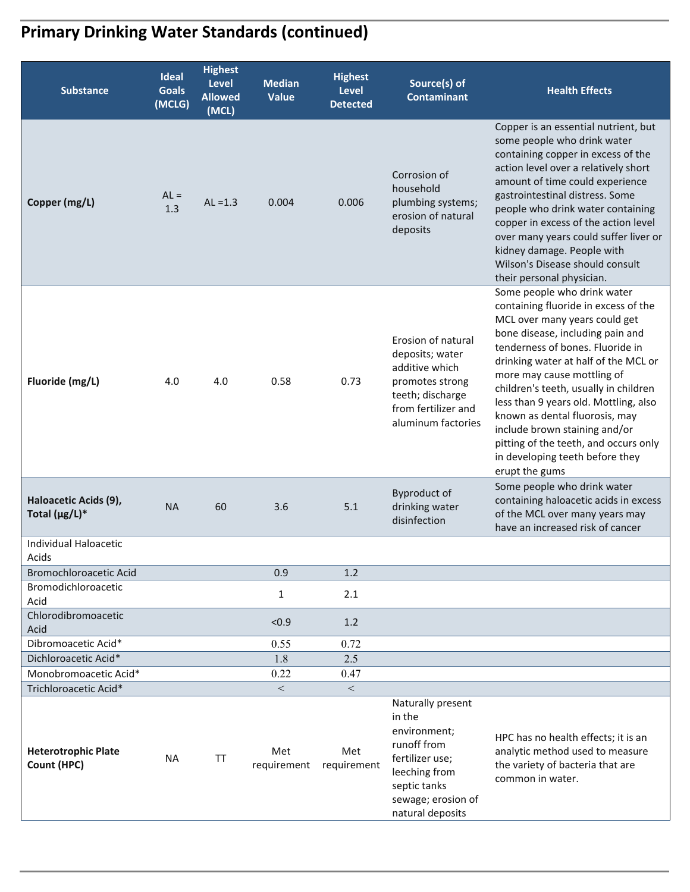# **Primary Drinking Water Standards (continued)**

| <b>Substance</b>                             | <b>Ideal</b><br><b>Goals</b><br>(MCLG) | <b>Highest</b><br>Level<br><b>Allowed</b><br>(MCL) | <b>Median</b><br><b>Value</b> | <b>Highest</b><br><b>Level</b><br><b>Detected</b> | Source(s) of<br><b>Contaminant</b>                                                                                                                       | <b>Health Effects</b>                                                                                                                                                                                                                                                                                                                                                                                                                                                                                 |
|----------------------------------------------|----------------------------------------|----------------------------------------------------|-------------------------------|---------------------------------------------------|----------------------------------------------------------------------------------------------------------------------------------------------------------|-------------------------------------------------------------------------------------------------------------------------------------------------------------------------------------------------------------------------------------------------------------------------------------------------------------------------------------------------------------------------------------------------------------------------------------------------------------------------------------------------------|
| Copper (mg/L)                                | $AL =$<br>1.3                          | $AL = 1.3$                                         | 0.004                         | 0.006                                             | Corrosion of<br>household<br>plumbing systems;<br>erosion of natural<br>deposits                                                                         | Copper is an essential nutrient, but<br>some people who drink water<br>containing copper in excess of the<br>action level over a relatively short<br>amount of time could experience<br>gastrointestinal distress. Some<br>people who drink water containing<br>copper in excess of the action level<br>over many years could suffer liver or<br>kidney damage. People with<br>Wilson's Disease should consult<br>their personal physician.                                                           |
| Fluoride (mg/L)                              | 4.0                                    | 4.0                                                | 0.58                          | 0.73                                              | Erosion of natural<br>deposits; water<br>additive which<br>promotes strong<br>teeth; discharge<br>from fertilizer and<br>aluminum factories              | Some people who drink water<br>containing fluoride in excess of the<br>MCL over many years could get<br>bone disease, including pain and<br>tenderness of bones. Fluoride in<br>drinking water at half of the MCL or<br>more may cause mottling of<br>children's teeth, usually in children<br>less than 9 years old. Mottling, also<br>known as dental fluorosis, may<br>include brown staining and/or<br>pitting of the teeth, and occurs only<br>in developing teeth before they<br>erupt the gums |
| Haloacetic Acids (9),<br>Total $(\mu g/L)^*$ | <b>NA</b>                              | 60                                                 | 3.6                           | 5.1                                               | Byproduct of<br>drinking water<br>disinfection                                                                                                           | Some people who drink water<br>containing haloacetic acids in excess<br>of the MCL over many years may<br>have an increased risk of cancer                                                                                                                                                                                                                                                                                                                                                            |
| <b>Individual Haloacetic</b><br>Acids        |                                        |                                                    |                               |                                                   |                                                                                                                                                          |                                                                                                                                                                                                                                                                                                                                                                                                                                                                                                       |
| <b>Bromochloroacetic Acid</b>                |                                        |                                                    | 0.9                           | 1.2                                               |                                                                                                                                                          |                                                                                                                                                                                                                                                                                                                                                                                                                                                                                                       |
| Bromodichloroacetic<br>Acid                  |                                        |                                                    | $\mathbf{1}$                  | 2.1                                               |                                                                                                                                                          |                                                                                                                                                                                                                                                                                                                                                                                                                                                                                                       |
| Chlorodibromoacetic<br>Acid                  |                                        |                                                    | < 0.9                         | 1.2                                               |                                                                                                                                                          |                                                                                                                                                                                                                                                                                                                                                                                                                                                                                                       |
| Dibromoacetic Acid*                          |                                        |                                                    | 0.55                          | 0.72                                              |                                                                                                                                                          |                                                                                                                                                                                                                                                                                                                                                                                                                                                                                                       |
| Dichloroacetic Acid*                         |                                        |                                                    | 1.8                           | 2.5                                               |                                                                                                                                                          |                                                                                                                                                                                                                                                                                                                                                                                                                                                                                                       |
| Monobromoacetic Acid*                        |                                        |                                                    | 0.22                          | 0.47                                              |                                                                                                                                                          |                                                                                                                                                                                                                                                                                                                                                                                                                                                                                                       |
| Trichloroacetic Acid*                        |                                        |                                                    | $\,<\,$                       | $\,<\,$                                           |                                                                                                                                                          |                                                                                                                                                                                                                                                                                                                                                                                                                                                                                                       |
| <b>Heterotrophic Plate</b><br>Count (HPC)    | <b>NA</b>                              | TT                                                 | Met<br>requirement            | Met<br>requirement                                | Naturally present<br>in the<br>environment;<br>runoff from<br>fertilizer use;<br>leeching from<br>septic tanks<br>sewage; erosion of<br>natural deposits | HPC has no health effects; it is an<br>analytic method used to measure<br>the variety of bacteria that are<br>common in water.                                                                                                                                                                                                                                                                                                                                                                        |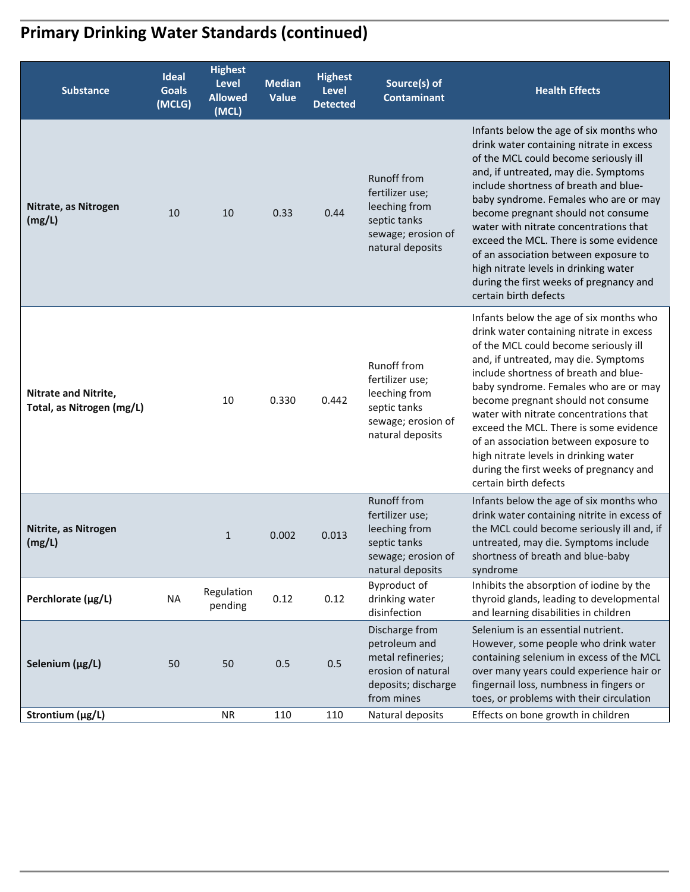# **Primary Drinking Water Standards (continued)**

| <b>Substance</b>                                         | Ideal<br><b>Goals</b><br>(MCLG) | <b>Highest</b><br><b>Level</b><br><b>Allowed</b><br>(MCL) | <b>Median</b><br>Value | <b>Highest</b><br><b>Level</b><br><b>Detected</b> | Source(s) of<br><b>Contaminant</b>                                                                               | <b>Health Effects</b>                                                                                                                                                                                                                                                                                                                                                                                                                                                                                                                  |
|----------------------------------------------------------|---------------------------------|-----------------------------------------------------------|------------------------|---------------------------------------------------|------------------------------------------------------------------------------------------------------------------|----------------------------------------------------------------------------------------------------------------------------------------------------------------------------------------------------------------------------------------------------------------------------------------------------------------------------------------------------------------------------------------------------------------------------------------------------------------------------------------------------------------------------------------|
| Nitrate, as Nitrogen<br>(mg/L)                           | 10                              | 10                                                        | 0.33                   | 0.44                                              | <b>Runoff from</b><br>fertilizer use;<br>leeching from<br>septic tanks<br>sewage; erosion of<br>natural deposits | Infants below the age of six months who<br>drink water containing nitrate in excess<br>of the MCL could become seriously ill<br>and, if untreated, may die. Symptoms<br>include shortness of breath and blue-<br>baby syndrome. Females who are or may<br>become pregnant should not consume<br>water with nitrate concentrations that<br>exceed the MCL. There is some evidence<br>of an association between exposure to<br>high nitrate levels in drinking water<br>during the first weeks of pregnancy and<br>certain birth defects |
| <b>Nitrate and Nitrite,</b><br>Total, as Nitrogen (mg/L) |                                 | 10                                                        | 0.330                  | 0.442                                             | Runoff from<br>fertilizer use;<br>leeching from<br>septic tanks<br>sewage; erosion of<br>natural deposits        | Infants below the age of six months who<br>drink water containing nitrate in excess<br>of the MCL could become seriously ill<br>and, if untreated, may die. Symptoms<br>include shortness of breath and blue-<br>baby syndrome. Females who are or may<br>become pregnant should not consume<br>water with nitrate concentrations that<br>exceed the MCL. There is some evidence<br>of an association between exposure to<br>high nitrate levels in drinking water<br>during the first weeks of pregnancy and<br>certain birth defects |
| Nitrite, as Nitrogen<br>(mg/L)                           |                                 | $\mathbf{1}$                                              | 0.002                  | 0.013                                             | <b>Runoff from</b><br>fertilizer use;<br>leeching from<br>septic tanks<br>sewage; erosion of<br>natural deposits | Infants below the age of six months who<br>drink water containing nitrite in excess of<br>the MCL could become seriously ill and, if<br>untreated, may die. Symptoms include<br>shortness of breath and blue-baby<br>syndrome                                                                                                                                                                                                                                                                                                          |
| Perchlorate (µg/L)                                       | <b>NA</b>                       | Regulation<br>pending                                     | 0.12                   | 0.12                                              | Byproduct of<br>drinking water<br>disinfection                                                                   | Inhibits the absorption of iodine by the<br>thyroid glands, leading to developmental<br>and learning disabilities in children                                                                                                                                                                                                                                                                                                                                                                                                          |
| Selenium (µg/L)                                          | 50                              | 50                                                        | 0.5                    | 0.5                                               | Discharge from<br>petroleum and<br>metal refineries;<br>erosion of natural<br>deposits; discharge<br>from mines  | Selenium is an essential nutrient.<br>However, some people who drink water<br>containing selenium in excess of the MCL<br>over many years could experience hair or<br>fingernail loss, numbness in fingers or<br>toes, or problems with their circulation                                                                                                                                                                                                                                                                              |
| Strontium (µg/L)                                         |                                 | <b>NR</b>                                                 | 110                    | 110                                               | Natural deposits                                                                                                 | Effects on bone growth in children                                                                                                                                                                                                                                                                                                                                                                                                                                                                                                     |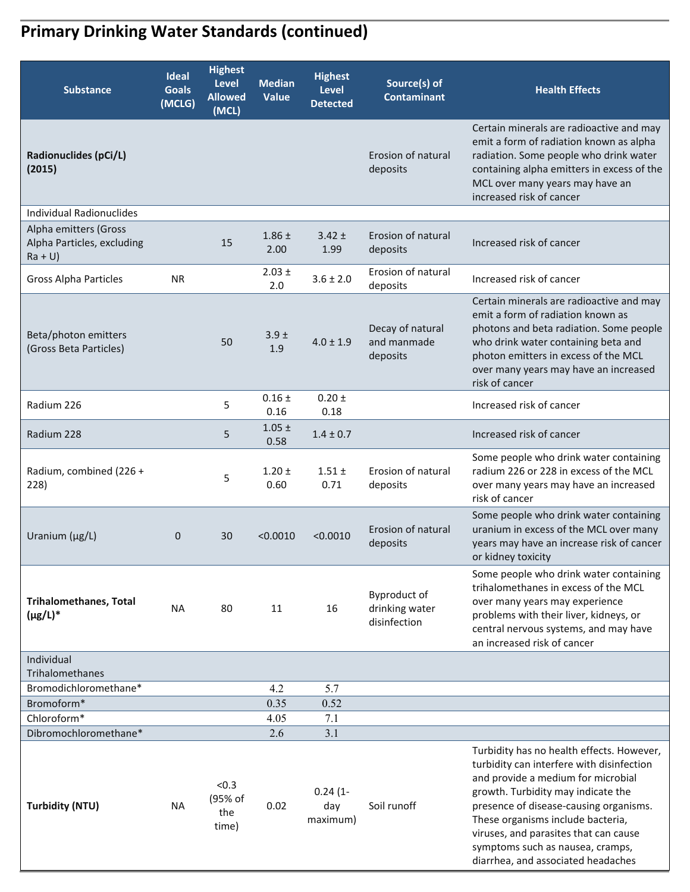# **Primary Drinking Water Standards (continued)**

| <b>Substance</b>                                                | <b>Ideal</b><br><b>Goals</b><br>(MCLG) | <b>Highest</b><br>Level<br><b>Allowed</b><br>(MCL) | <b>Median</b><br>Value  | <b>Highest</b><br><b>Level</b><br><b>Detected</b> | Source(s) of<br><b>Contaminant</b>             | <b>Health Effects</b>                                                                                                                                                                                                                                                                                                                                                |
|-----------------------------------------------------------------|----------------------------------------|----------------------------------------------------|-------------------------|---------------------------------------------------|------------------------------------------------|----------------------------------------------------------------------------------------------------------------------------------------------------------------------------------------------------------------------------------------------------------------------------------------------------------------------------------------------------------------------|
| Radionuclides (pCi/L)<br>(2015)                                 |                                        |                                                    |                         |                                                   | Erosion of natural<br>deposits                 | Certain minerals are radioactive and may<br>emit a form of radiation known as alpha<br>radiation. Some people who drink water<br>containing alpha emitters in excess of the<br>MCL over many years may have an<br>increased risk of cancer                                                                                                                           |
| Individual Radionuclides                                        |                                        |                                                    |                         |                                                   |                                                |                                                                                                                                                                                                                                                                                                                                                                      |
| Alpha emitters (Gross<br>Alpha Particles, excluding<br>$Ra + U$ |                                        | 15                                                 | $1.86 \pm$<br>2.00      | $3.42 \pm$<br>1.99                                | Erosion of natural<br>deposits                 | Increased risk of cancer                                                                                                                                                                                                                                                                                                                                             |
| <b>Gross Alpha Particles</b>                                    | <b>NR</b>                              |                                                    | $2.03 \pm$<br>2.0       | $3.6 \pm 2.0$                                     | Erosion of natural<br>deposits                 | Increased risk of cancer                                                                                                                                                                                                                                                                                                                                             |
| Beta/photon emitters<br>(Gross Beta Particles)                  |                                        | 50                                                 | 3.9 <sub>±</sub><br>1.9 | $4.0 \pm 1.9$                                     | Decay of natural<br>and manmade<br>deposits    | Certain minerals are radioactive and may<br>emit a form of radiation known as<br>photons and beta radiation. Some people<br>who drink water containing beta and<br>photon emitters in excess of the MCL<br>over many years may have an increased<br>risk of cancer                                                                                                   |
| Radium 226                                                      |                                        | 5                                                  | $0.16 \pm$<br>0.16      | $0.20 \pm$<br>0.18                                |                                                | Increased risk of cancer                                                                                                                                                                                                                                                                                                                                             |
| Radium 228                                                      |                                        | 5                                                  | $1.05 \pm$<br>0.58      | $1.4 \pm 0.7$                                     |                                                | Increased risk of cancer                                                                                                                                                                                                                                                                                                                                             |
| Radium, combined (226 +<br>228)                                 |                                        | 5                                                  | $1.20 \pm$<br>0.60      | $1.51 \pm$<br>0.71                                | Erosion of natural<br>deposits                 | Some people who drink water containing<br>radium 226 or 228 in excess of the MCL<br>over many years may have an increased<br>risk of cancer                                                                                                                                                                                                                          |
| Uranium (µg/L)                                                  | $\mathbf{0}$                           | 30                                                 | < 0.0010                | < 0.0010                                          | Erosion of natural<br>deposits                 | Some people who drink water containing<br>uranium in excess of the MCL over many<br>years may have an increase risk of cancer<br>or kidney toxicity                                                                                                                                                                                                                  |
| <b>Trihalomethanes, Total</b><br>$(\mu g/L)^*$                  | <b>NA</b>                              | 80                                                 | 11                      | 16                                                | Byproduct of<br>drinking water<br>disinfection | Some people who drink water containing<br>trihalomethanes in excess of the MCL<br>over many years may experience<br>problems with their liver, kidneys, or<br>central nervous systems, and may have<br>an increased risk of cancer                                                                                                                                   |
| Individual                                                      |                                        |                                                    |                         |                                                   |                                                |                                                                                                                                                                                                                                                                                                                                                                      |
| Trihalomethanes<br>Bromodichloromethane*                        |                                        |                                                    |                         |                                                   |                                                |                                                                                                                                                                                                                                                                                                                                                                      |
| Bromoform*                                                      |                                        |                                                    | 4.2<br>0.35             | 5.7<br>0.52                                       |                                                |                                                                                                                                                                                                                                                                                                                                                                      |
| Chloroform*                                                     |                                        |                                                    | 4.05                    | 7.1                                               |                                                |                                                                                                                                                                                                                                                                                                                                                                      |
| Dibromochloromethane*                                           |                                        |                                                    | 2.6                     | 3.1                                               |                                                |                                                                                                                                                                                                                                                                                                                                                                      |
| <b>Turbidity (NTU)</b>                                          | <b>NA</b>                              | < 0.3<br>(95% of<br>the<br>time)                   | 0.02                    | $0.24(1 -$<br>day<br>maximum)                     | Soil runoff                                    | Turbidity has no health effects. However,<br>turbidity can interfere with disinfection<br>and provide a medium for microbial<br>growth. Turbidity may indicate the<br>presence of disease-causing organisms.<br>These organisms include bacteria,<br>viruses, and parasites that can cause<br>symptoms such as nausea, cramps,<br>diarrhea, and associated headaches |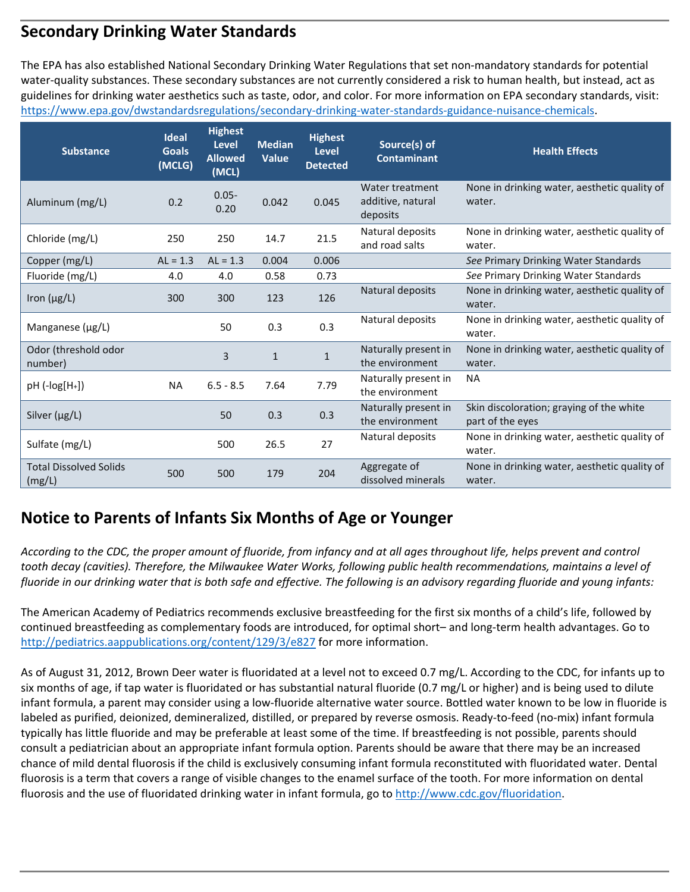## **Secondary Drinking Water Standards**

 guidelines for drinking water aesthetics such as taste, odor, and color. For more information on EPA secondary standards, visit: The EPA has also established National Secondary Drinking Water Regulations that set non‐mandatory standards for potential water-quality substances. These secondary substances are not currently considered a risk to human health, but instead, act as https://www.epa.gov/dwstandardsregulations/secondary-drinking-water-standards-guidance-nuisance-chemicals.

| <b>Substance</b>                                          | <b>Ideal</b><br><b>Goals</b><br>(MCLG) | <b>Highest</b><br><b>Level</b><br><b>Allowed</b><br>(MCL) | <b>Median</b><br><b>Value</b> | <b>Highest</b><br><b>Level</b><br><b>Detected</b> | Source(s) of<br><b>Contaminant</b>               | <b>Health Effects</b>                                                                                                        |
|-----------------------------------------------------------|----------------------------------------|-----------------------------------------------------------|-------------------------------|---------------------------------------------------|--------------------------------------------------|------------------------------------------------------------------------------------------------------------------------------|
| Aluminum (mg/L)                                           | 0.2                                    | $0.05 -$<br>0.20                                          | 0.042                         | 0.045                                             | Water treatment<br>additive, natural<br>deposits | None in drinking water, aesthetic quality of<br>water.                                                                       |
| Chloride (mg/L)                                           | 250                                    | 250                                                       | 14.7                          | 21.5                                              | Natural deposits<br>and road salts               | None in drinking water, aesthetic quality of<br>water.                                                                       |
| Copper (mg/L)                                             | $AL = 1.3$                             | $AL = 1.3$                                                | 0.004                         | 0.006                                             |                                                  | See Primary Drinking Water Standards                                                                                         |
| Fluoride (mg/L)                                           | 4.0                                    | 4.0                                                       | 0.58                          | 0.73                                              |                                                  | See Primary Drinking Water Standards                                                                                         |
| Iron $(\mu g/L)$                                          | 300                                    | 300                                                       | 123                           | 126                                               | Natural deposits                                 | None in drinking water, aesthetic quality of<br>water.                                                                       |
| Manganese $(\mu g/L)$                                     |                                        | 50                                                        | 0.3                           | 0.3                                               | Natural deposits                                 | None in drinking water, aesthetic quality of<br>water.                                                                       |
| Odor (threshold odor<br>number)                           |                                        | 3                                                         | $\mathbf{1}$                  | $\mathbf{1}$                                      | Naturally present in<br>the environment          | None in drinking water, aesthetic quality of<br>water.                                                                       |
| $pH$ (- $log[H+])$                                        | <b>NA</b>                              | $6.5 - 8.5$                                               | 7.64                          | 7.79                                              | Naturally present in<br>the environment          | <b>NA</b>                                                                                                                    |
| Silver (µg/L)                                             |                                        | 50                                                        | 0.3                           | 0.3                                               | Naturally present in<br>the environment          | Skin discoloration; graying of the white<br>part of the eyes                                                                 |
| Sulfate (mg/L)                                            |                                        | 500                                                       | 26.5                          | 27                                                | Natural deposits                                 | None in drinking water, aesthetic quality of<br>water.                                                                       |
| <b>Total Dissolved Solids</b><br>(mg/L)                   | 500                                    | 500                                                       | 179                           | 204                                               | Aggregate of<br>dissolved minerals               | None in drinking water, aesthetic quality of<br>water.                                                                       |
| Notice to Parents of Infants Six Months of Age or Younger |                                        |                                                           |                               |                                                   |                                                  | According to the CDC, the proper amount of fluoride, from infancy and at all gaes throughout life, helps prevent and control |

## **Notice to Parents of Infants Six Months of Age or Younger**

*According to the CDC, the proper amount of fluoride, from infancy and at all ages throughout life, helps prevent and control tooth decay (cavities). Therefore, the Milwaukee Water Works, following public health recommendations, maintains a level of fluoride in our drinking water that is both safe and effective. The following is an advisory regarding fluoride and young infants:* 

The American Academy of Pediatrics recommends exclusive breastfeeding for the first six months of a child's life, followed by continued breastfeeding as complementary foods are introduced, for optimal short– and long‐term health advantages. Go to http://pediatrics.aappublications.org/content/129/3/e827 for more information.

As of August 31, 2012, Brown Deer water is fluoridated at a level not to exceed 0.7 mg/L. According to the CDC, for infants up to six months of age, if tap water is fluoridated or has substantial natural fluoride (0.7 mg/L or higher) and is being used to dilute infant formula, a parent may consider using a low‐fluoride alternative water source. Bottled water known to be low in fluoride is labeled as purified, deionized, demineralized, distilled, or prepared by reverse osmosis. Ready‐to‐feed (no‐mix) infant formula typically has little fluoride and may be preferable at least some of the time. If breastfeeding is not possible, parents should consult a pediatrician about an appropriate infant formula option. Parents should be aware that there may be an increased chance of mild dental fluorosis if the child is exclusively consuming infant formula reconstituted with fluoridated water. Dental fluorosis is a term that covers a range of visible changes to the enamel surface of the tooth. For more information on dental fluorosis and the use of fluoridated drinking water in infant formula, go to http://www.cdc.gov/fluoridation.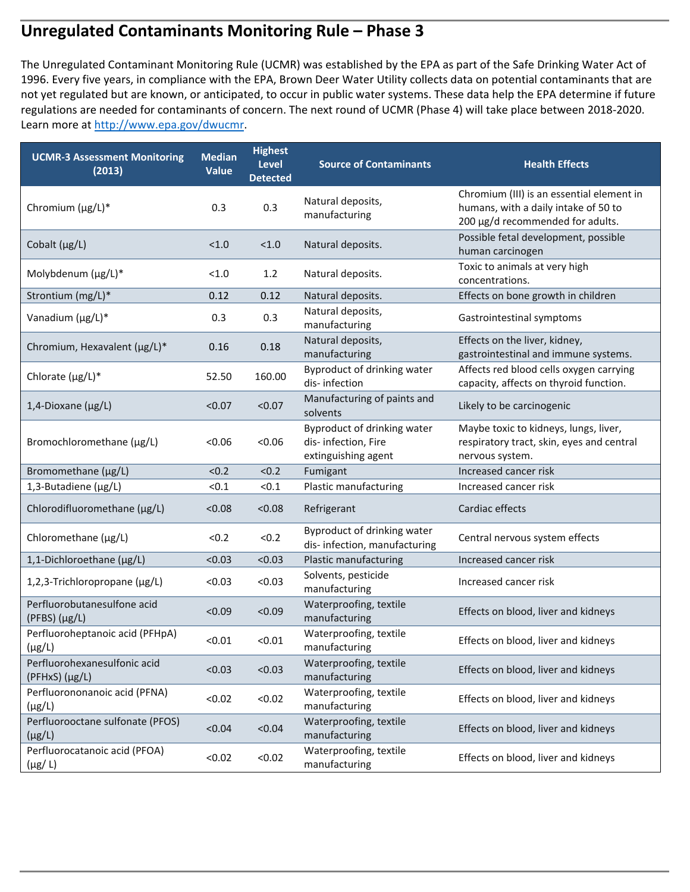## **Unregulated Contaminants Monitoring Rule – Phase 3**

 not yet regulated but are known, or anticipated, to occur in public water systems. These data help the EPA determine if future The Unregulated Contaminant Monitoring Rule (UCMR) was established by the EPA as part of the Safe Drinking Water Act of 1996. Every five years, in compliance with the EPA, Brown Deer Water Utility collects data on potential contaminants that are regulations are needed for contaminants of concern. The next round of UCMR (Phase 4) will take place between 2018‐2020. Learn more at http://www.epa.gov/dwucmr.

| <b>UCMR-3 Assessment Monitoring</b><br>(2013)    | <b>Median</b><br><b>Value</b> | <b>Highest</b><br><b>Level</b><br><b>Detected</b> | <b>Source of Contaminants</b>                                             | <b>Health Effects</b>                                                                                                 |
|--------------------------------------------------|-------------------------------|---------------------------------------------------|---------------------------------------------------------------------------|-----------------------------------------------------------------------------------------------------------------------|
| Chromium (µg/L)*                                 | 0.3                           | 0.3                                               | Natural deposits,<br>manufacturing                                        | Chromium (III) is an essential element in<br>humans, with a daily intake of 50 to<br>200 µg/d recommended for adults. |
| Cobalt (µg/L)                                    | < 1.0                         | < 1.0                                             | Natural deposits.                                                         | Possible fetal development, possible<br>human carcinogen                                                              |
| Molybdenum (µg/L)*                               | < 1.0                         | 1.2                                               | Natural deposits.                                                         | Toxic to animals at very high<br>concentrations.                                                                      |
| Strontium (mg/L)*                                | 0.12                          | 0.12                                              | Natural deposits.                                                         | Effects on bone growth in children                                                                                    |
| Vanadium (µg/L)*                                 | 0.3                           | 0.3                                               | Natural deposits,<br>manufacturing                                        | Gastrointestinal symptoms                                                                                             |
| Chromium, Hexavalent (µg/L)*                     | 0.16                          | 0.18                                              | Natural deposits,<br>manufacturing                                        | Effects on the liver, kidney,<br>gastrointestinal and immune systems.                                                 |
| Chlorate (µg/L)*                                 | 52.50                         | 160.00                                            | Byproduct of drinking water<br>dis-infection                              | Affects red blood cells oxygen carrying<br>capacity, affects on thyroid function.                                     |
| 1,4-Dioxane (µg/L)                               | < 0.07                        | < 0.07                                            | Manufacturing of paints and<br>solvents                                   | Likely to be carcinogenic                                                                                             |
| Bromochloromethane (µg/L)                        | < 0.06                        | < 0.06                                            | Byproduct of drinking water<br>dis-infection, Fire<br>extinguishing agent | Maybe toxic to kidneys, lungs, liver,<br>respiratory tract, skin, eyes and central<br>nervous system.                 |
| Bromomethane (µg/L)                              | < 0.2                         | < 0.2                                             | Fumigant                                                                  | Increased cancer risk                                                                                                 |
| 1,3-Butadiene (µg/L)                             | < 0.1                         | < 0.1                                             | Plastic manufacturing                                                     | Increased cancer risk                                                                                                 |
| Chlorodifluoromethane (µg/L)                     | < 0.08                        | < 0.08                                            | Refrigerant                                                               | Cardiac effects                                                                                                       |
| Chloromethane (µg/L)                             | < 0.2                         | < 0.2                                             | Byproduct of drinking water<br>dis-infection, manufacturing               | Central nervous system effects                                                                                        |
| 1,1-Dichloroethane (µg/L)                        | < 0.03                        | < 0.03                                            | Plastic manufacturing                                                     | Increased cancer risk                                                                                                 |
| 1,2,3-Trichloropropane (µg/L)                    | < 0.03                        | < 0.03                                            | Solvents, pesticide<br>manufacturing                                      | Increased cancer risk                                                                                                 |
| Perfluorobutanesulfone acid<br>$(PFBS)(\mu g/L)$ | < 0.09                        | < 0.09                                            | Waterproofing, textile<br>manufacturing                                   | Effects on blood, liver and kidneys                                                                                   |
| Perfluoroheptanoic acid (PFHpA)<br>$(\mu g/L)$   | < 0.01                        | < 0.01                                            | Waterproofing, textile<br>manufacturing                                   | Effects on blood, liver and kidneys                                                                                   |
| Perfluorohexanesulfonic acid<br>(PFHxS) (µg/L)   | < 0.03                        | < 0.03                                            | Waterproofing, textile<br>manufacturing                                   | Effects on blood, liver and kidneys                                                                                   |
| Perfluorononanoic acid (PFNA)<br>$(\mu g/L)$     | < 0.02                        | < 0.02                                            | Waterproofing, textile<br>manufacturing                                   | Effects on blood, liver and kidneys                                                                                   |
| Perfluorooctane sulfonate (PFOS)<br>$(\mu g/L)$  | < 0.04                        | < 0.04                                            | Waterproofing, textile<br>manufacturing                                   | Effects on blood, liver and kidneys                                                                                   |
| Perfluorocatanoic acid (PFOA)<br>$(\mu g/L)$     | < 0.02                        | < 0.02                                            | Waterproofing, textile<br>manufacturing                                   | Effects on blood, liver and kidneys                                                                                   |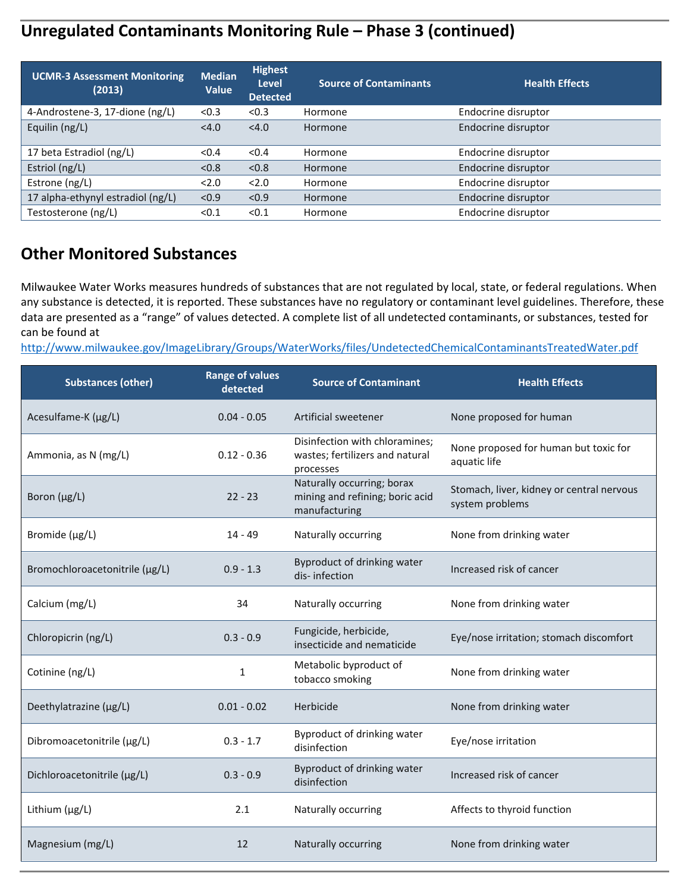## **Unregulated Contaminants Monitoring Rule – Phase 3 (continued)**

| <b>UCMR-3 Assessment Monitoring</b><br>(2013) | <b>Median</b><br>Value | <b>Highest</b><br>Level<br><b>Detected</b> | <b>Source of Contaminants</b> | <b>Health Effects</b> |
|-----------------------------------------------|------------------------|--------------------------------------------|-------------------------------|-----------------------|
| 4-Androstene-3, 17-dione (ng/L)               | < 0.3                  | < 0.3                                      | Hormone                       | Endocrine disruptor   |
| Equilin (ng/L)                                | < 4.0                  | < 4.0                                      | Hormone                       | Endocrine disruptor   |
| 17 beta Estradiol (ng/L)                      | < 0.4                  | < 0.4                                      | Hormone                       | Endocrine disruptor   |
| Estriol (ng/L)                                | < 0.8                  | < 0.8                                      | Hormone                       | Endocrine disruptor   |
| Estrone (ng/L)                                | 2.0                    | 2.0                                        | Hormone                       | Endocrine disruptor   |
| 17 alpha-ethynyl estradiol (ng/L)             | < 0.9                  | < 0.9                                      | Hormone                       | Endocrine disruptor   |
| Testosterone (ng/L)                           | < 0.1                  | < 0.1                                      | Hormone                       | Endocrine disruptor   |

### **Other Monitored Substances**

Milwaukee Water Works measures hundreds of substances that are not regulated by local, state, or federal regulations. When any substance is detected, it is reported. These substances have no regulatory or contaminant level guidelines. Therefore, these data are presented as a "range" of values detected. A complete list of all undetected contaminants, or substances, tested for can be found at

| can be Tound at<br>http://www.milwaukee.gov/ImageLibrary/Groups/WaterWorks/files/UndetectedChemicalContaminantsTreatedWater.pdf |                                    |                                                                                |                                                              |  |  |  |
|---------------------------------------------------------------------------------------------------------------------------------|------------------------------------|--------------------------------------------------------------------------------|--------------------------------------------------------------|--|--|--|
| <b>Substances (other)</b>                                                                                                       | <b>Range of values</b><br>detected | <b>Source of Contaminant</b>                                                   | <b>Health Effects</b>                                        |  |  |  |
| Acesulfame-K (µg/L)                                                                                                             | $0.04 - 0.05$                      | Artificial sweetener                                                           | None proposed for human                                      |  |  |  |
| Ammonia, as N (mg/L)                                                                                                            | $0.12 - 0.36$                      | Disinfection with chloramines;<br>wastes; fertilizers and natural<br>processes | None proposed for human but toxic for<br>aquatic life        |  |  |  |
| Boron $(\mu g/L)$                                                                                                               | $22 - 23$                          | Naturally occurring; borax<br>mining and refining; boric acid<br>manufacturing | Stomach, liver, kidney or central nervous<br>system problems |  |  |  |
| Bromide (µg/L)                                                                                                                  | 14 - 49                            | Naturally occurring                                                            | None from drinking water                                     |  |  |  |
| Bromochloroacetonitrile (µg/L)                                                                                                  | $0.9 - 1.3$                        | Byproduct of drinking water<br>dis-infection                                   | Increased risk of cancer                                     |  |  |  |
| Calcium (mg/L)                                                                                                                  | 34                                 | Naturally occurring                                                            | None from drinking water                                     |  |  |  |
| Chloropicrin (ng/L)                                                                                                             | $0.3 - 0.9$                        | Fungicide, herbicide,<br>insecticide and nematicide                            | Eye/nose irritation; stomach discomfort                      |  |  |  |
| Cotinine (ng/L)                                                                                                                 | 1                                  | Metabolic byproduct of<br>tobacco smoking                                      | None from drinking water                                     |  |  |  |
| Deethylatrazine (µg/L)                                                                                                          | $0.01 - 0.02$                      | Herbicide                                                                      | None from drinking water                                     |  |  |  |
| Dibromoacetonitrile (µg/L)                                                                                                      | $0.3 - 1.7$                        | Byproduct of drinking water<br>disinfection                                    | Eye/nose irritation                                          |  |  |  |
| Dichloroacetonitrile (µg/L)                                                                                                     | $0.3 - 0.9$                        | Byproduct of drinking water<br>disinfection                                    | Increased risk of cancer                                     |  |  |  |
| Lithium (µg/L)                                                                                                                  | 2.1                                | Naturally occurring                                                            | Affects to thyroid function                                  |  |  |  |
| Magnesium (mg/L)                                                                                                                | 12                                 | Naturally occurring                                                            | None from drinking water                                     |  |  |  |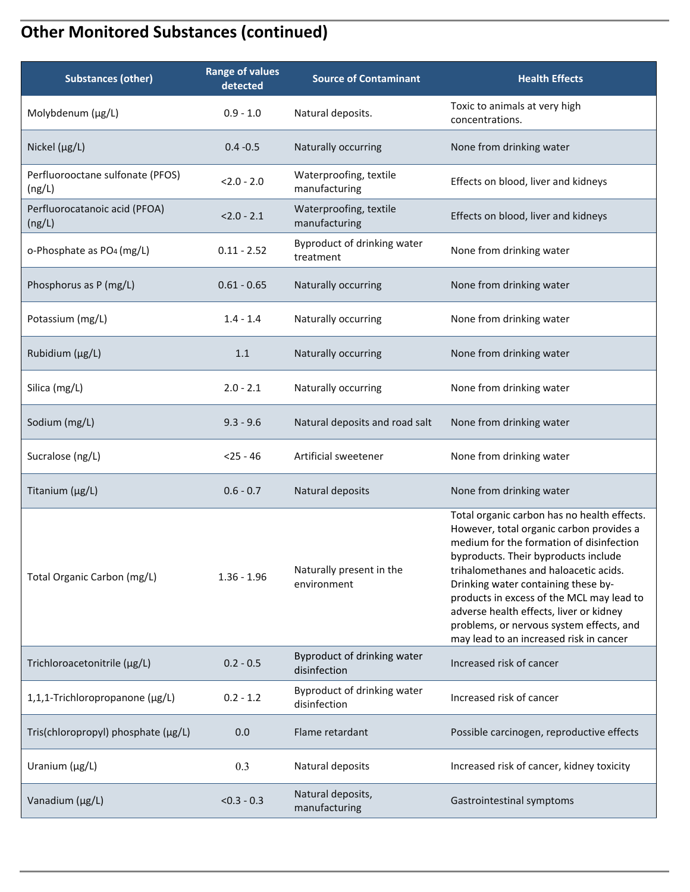## **Other Monitored Substances (continued)**

| <b>Substances (other)</b>                  | <b>Range of values</b><br>detected | <b>Source of Contaminant</b>                | <b>Health Effects</b>                                                                                                                                                                                                                                                                                                                                                                                                                      |
|--------------------------------------------|------------------------------------|---------------------------------------------|--------------------------------------------------------------------------------------------------------------------------------------------------------------------------------------------------------------------------------------------------------------------------------------------------------------------------------------------------------------------------------------------------------------------------------------------|
| Molybdenum (µg/L)                          | $0.9 - 1.0$                        | Natural deposits.                           | Toxic to animals at very high<br>concentrations.                                                                                                                                                                                                                                                                                                                                                                                           |
| Nickel $(\mu g/L)$                         | $0.4 - 0.5$                        | Naturally occurring                         | None from drinking water                                                                                                                                                                                                                                                                                                                                                                                                                   |
| Perfluorooctane sulfonate (PFOS)<br>(ng/L) | $< 2.0 - 2.0$                      | Waterproofing, textile<br>manufacturing     | Effects on blood, liver and kidneys                                                                                                                                                                                                                                                                                                                                                                                                        |
| Perfluorocatanoic acid (PFOA)<br>(ng/L)    | $2.0 - 2.1$                        | Waterproofing, textile<br>manufacturing     | Effects on blood, liver and kidneys                                                                                                                                                                                                                                                                                                                                                                                                        |
| o-Phosphate as PO <sub>4</sub> (mg/L)      | $0.11 - 2.52$                      | Byproduct of drinking water<br>treatment    | None from drinking water                                                                                                                                                                                                                                                                                                                                                                                                                   |
| Phosphorus as P (mg/L)                     | $0.61 - 0.65$                      | Naturally occurring                         | None from drinking water                                                                                                                                                                                                                                                                                                                                                                                                                   |
| Potassium (mg/L)                           | $1.4 - 1.4$                        | Naturally occurring                         | None from drinking water                                                                                                                                                                                                                                                                                                                                                                                                                   |
| Rubidium (µg/L)                            | 1.1                                | Naturally occurring                         | None from drinking water                                                                                                                                                                                                                                                                                                                                                                                                                   |
| Silica (mg/L)                              | $2.0 - 2.1$                        | Naturally occurring                         | None from drinking water                                                                                                                                                                                                                                                                                                                                                                                                                   |
| Sodium (mg/L)                              | $9.3 - 9.6$                        | Natural deposits and road salt              | None from drinking water                                                                                                                                                                                                                                                                                                                                                                                                                   |
| Sucralose (ng/L)                           | $< 25 - 46$                        | Artificial sweetener                        | None from drinking water                                                                                                                                                                                                                                                                                                                                                                                                                   |
| Titanium (µg/L)                            | $0.6 - 0.7$                        | Natural deposits                            | None from drinking water                                                                                                                                                                                                                                                                                                                                                                                                                   |
| Total Organic Carbon (mg/L)                | $1.36 - 1.96$                      | Naturally present in the<br>environment     | Total organic carbon has no health effects.<br>However, total organic carbon provides a<br>medium for the formation of disinfection<br>byproducts. Their byproducts include<br>trihalomethanes and haloacetic acids.<br>Drinking water containing these by-<br>products in excess of the MCL may lead to<br>adverse health effects, liver or kidney<br>problems, or nervous system effects, and<br>may lead to an increased risk in cancer |
| Trichloroacetonitrile (µg/L)               | $0.2 - 0.5$                        | Byproduct of drinking water<br>disinfection | Increased risk of cancer                                                                                                                                                                                                                                                                                                                                                                                                                   |
| 1,1,1-Trichloropropanone (µg/L)            | $0.2 - 1.2$                        | Byproduct of drinking water<br>disinfection | Increased risk of cancer                                                                                                                                                                                                                                                                                                                                                                                                                   |
| Tris(chloropropyl) phosphate (µg/L)        | 0.0                                | Flame retardant                             | Possible carcinogen, reproductive effects                                                                                                                                                                                                                                                                                                                                                                                                  |
| Uranium (µg/L)                             | 0.3                                | Natural deposits                            | Increased risk of cancer, kidney toxicity                                                                                                                                                                                                                                                                                                                                                                                                  |
| Vanadium (µg/L)                            | $< 0.3 - 0.3$                      | Natural deposits,<br>manufacturing          | Gastrointestinal symptoms                                                                                                                                                                                                                                                                                                                                                                                                                  |